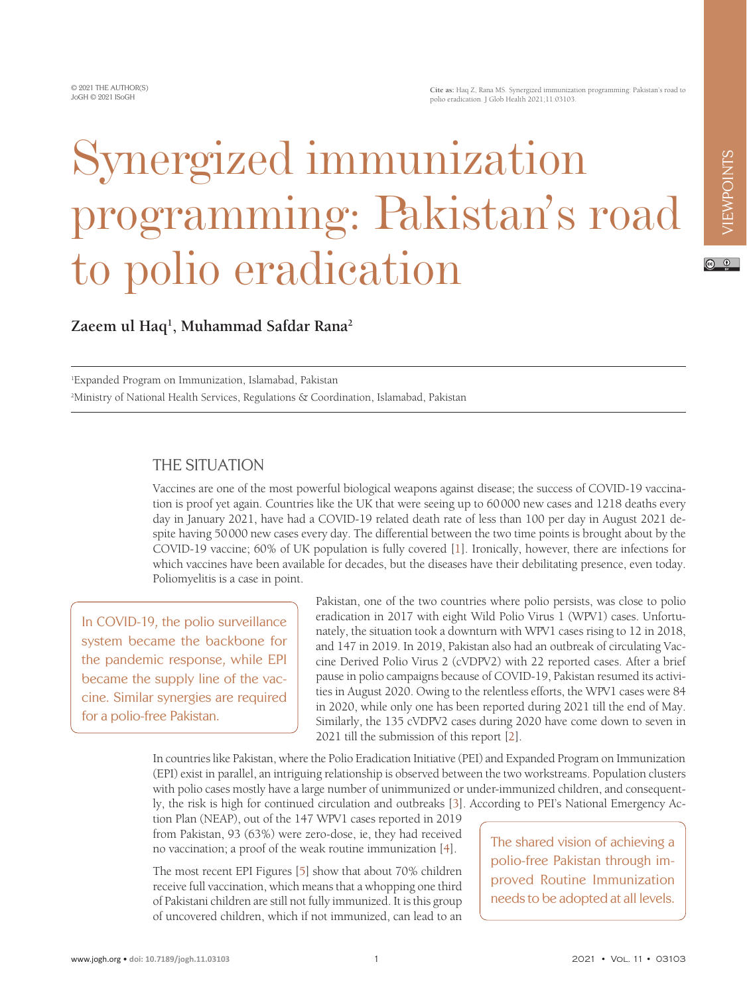# Synergized immunization programming: Pakistan's road to polio eradication

## $\odot$   $\odot$

**Zaeem ul Haq1 , Muhammad Safdar Rana2**

1 Expanded Program on Immunization, Islamabad, Pakistan 2 Ministry of National Health Services, Regulations & Coordination, Islamabad, Pakistan

#### THE SITUATION

Vaccines are one of the most powerful biological weapons against disease; the success of COVID-19 vaccination is proof yet again. Countries like the UK that were seeing up to 60000 new cases and 1218 deaths every day in January 2021, have had a COVID-19 related death rate of less than 100 per day in August 2021 despite having 50000 new cases every day. The differential between the two time points is brought about by the COVID-19 vaccine; 60% of UK population is fully covered [[1\]](#page-3-0). Ironically, however, there are infections for which vaccines have been available for decades, but the diseases have their debilitating presence, even today. Poliomyelitis is a case in point.

In COVID-19, the polio surveillance system became the backbone for the pandemic response, while EPI became the supply line of the vaccine. Similar synergies are required for a polio-free Pakistan.

Pakistan, one of the two countries where polio persists, was close to polio eradication in 2017 with eight Wild Polio Virus 1 (WPV1) cases. Unfortunately, the situation took a downturn with WPV1 cases rising to 12 in 2018, and 147 in 2019. In 2019, Pakistan also had an outbreak of circulating Vaccine Derived Polio Virus 2 (cVDPV2) with 22 reported cases. After a brief pause in polio campaigns because of COVID-19, Pakistan resumed its activities in August 2020. Owing to the relentless efforts, the WPV1 cases were 84 in 2020, while only one has been reported during 2021 till the end of May. Similarly, the 135 cVDPV2 cases during 2020 have come down to seven in 2021 till the submission of this report [[2\]](#page-3-1).

In countries like Pakistan, where the Polio Eradication Initiative (PEI) and Expanded Program on Immunization (EPI) exist in parallel, an intriguing relationship is observed between the two workstreams. Population clusters with polio cases mostly have a large number of unimmunized or under-immunized children, and consequently, the risk is high for continued circulation and outbreaks [[3](#page-3-2)]. According to PEI's National Emergency Ac-

tion Plan (NEAP), out of the 147 WPV1 cases reported in 2019 from Pakistan, 93 (63%) were zero-dose, ie, they had received no vaccination; a proof of the weak routine immunization [[4\]](#page-3-3).

The most recent EPI Figures [[5\]](#page-3-4) show that about 70% children receive full vaccination, which means that a whopping one third of Pakistani children are still not fully immunized. It is this group of uncovered children, which if not immunized, can lead to an

The shared vision of achieving a polio-free Pakistan through improved Routine Immunization needs to be adopted at all levels.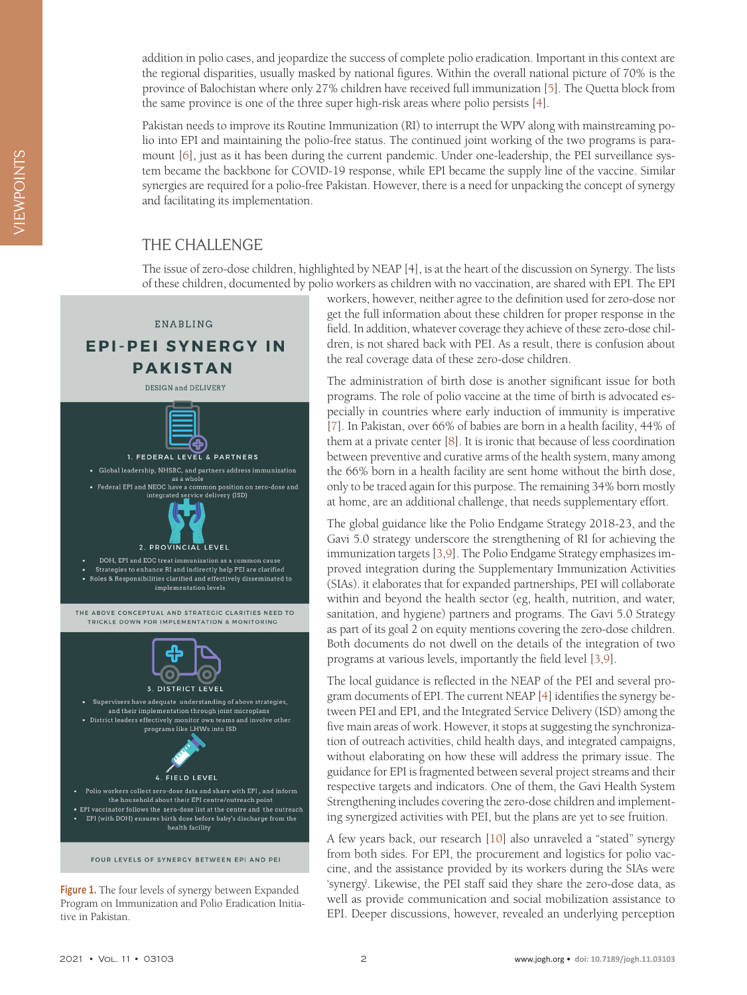addition in polio cases, and jeopardize the success of complete polio eradication. Important in this context are the regional disparities, usually masked by national figures. Within the overall national picture of 70% is the province of Balochistan where only 27% children have received full immunization [[5\]](#page-3-4). The Quetta block from the same province is one of the three super high-risk areas where polio persists [[4\]](#page-3-3).

Pakistan needs to improve its Routine Immunization (RI) to interrupt the WPV along with mainstreaming polio into EPI and maintaining the polio-free status. The continued joint working of the two programs is paramount [[6\]](#page-3-5), just as it has been during the current pandemic. Under one-leadership, the PEI surveillance system became the backbone for COVID-19 response, while EPI became the supply line of the vaccine. Similar synergies are required for a polio-free Pakistan. However, there is a need for unpacking the concept of synergy and facilitating its implementation.

#### THE CHALLENGE

The issue of zero-dose children, highlighted by NEAP [4], is at the heart of the discussion on Synergy. The lists of these children, documented by polio workers as children with no vaccination, are shared with EPI. The EPI

<span id="page-1-0"></span>

**Figure 1.** The four levels of synergy between Expanded Program on Immunization and Polio Eradication Initiative in Pakistan.

workers, however, neither agree to the definition used for zero-dose nor get the full information about these children for proper response in the field. In addition, whatever coverage they achieve of these zero-dose children, is not shared back with PEI. As a result, there is confusion about the real coverage data of these zero-dose children.

The administration of birth dose is another significant issue for both programs. The role of polio vaccine at the time of birth is advocated especially in countries where early induction of immunity is imperative [\[7](#page-3-6)]. In Pakistan, over 66% of babies are born in a health facility, 44% of them at a private center [[8\]](#page-3-7). It is ironic that because of less coordination between preventive and curative arms of the health system, many among the 66% born in a health facility are sent home without the birth dose, only to be traced again for this purpose. The remaining 34% born mostly at home, are an additional challenge, that needs supplementary effort.

The global guidance like the Polio Endgame Strategy 2018-23, and the Gavi 5.0 strategy underscore the strengthening of RI for achieving the immunization targets [\[3](#page-3-2),[9\]](#page-3-8). The Polio Endgame Strategy emphasizes improved integration during the Supplementary Immunization Activities (SIAs). it elaborates that for expanded partnerships, PEI will collaborate within and beyond the health sector (eg, health, nutrition, and water, sanitation, and hygiene) partners and programs. The Gavi 5.0 Strategy as part of its goal 2 on equity mentions covering the zero-dose children. Both documents do not dwell on the details of the integration of two programs at various levels, importantly the field level [[3](#page-3-2)[,9](#page-3-8)].

The local guidance is reflected in the NEAP of the PEI and several program documents of EPI. The current NEAP [\[4](#page-3-3)] identifies the synergy between PEI and EPI, and the Integrated Service Delivery (ISD) among the five main areas of work. However, it stops at suggesting the synchronization of outreach activities, child health days, and integrated campaigns, without elaborating on how these will address the primary issue. The guidance for EPI is fragmented between several project streams and their respective targets and indicators. One of them, the Gavi Health System Strengthening includes covering the zero-dose children and implementing synergized activities with PEI, but the plans are yet to see fruition.

A few years back, our research [\[10\]](#page-3-9) also unraveled a "stated" synergy from both sides. For EPI, the procurement and logistics for polio vaccine, and the assistance provided by its workers during the SIAs were 'synergy'. Likewise, the PEI staff said they share the zero-dose data, as well as provide communication and social mobilization assistance to EPI. Deeper discussions, however, revealed an underlying perception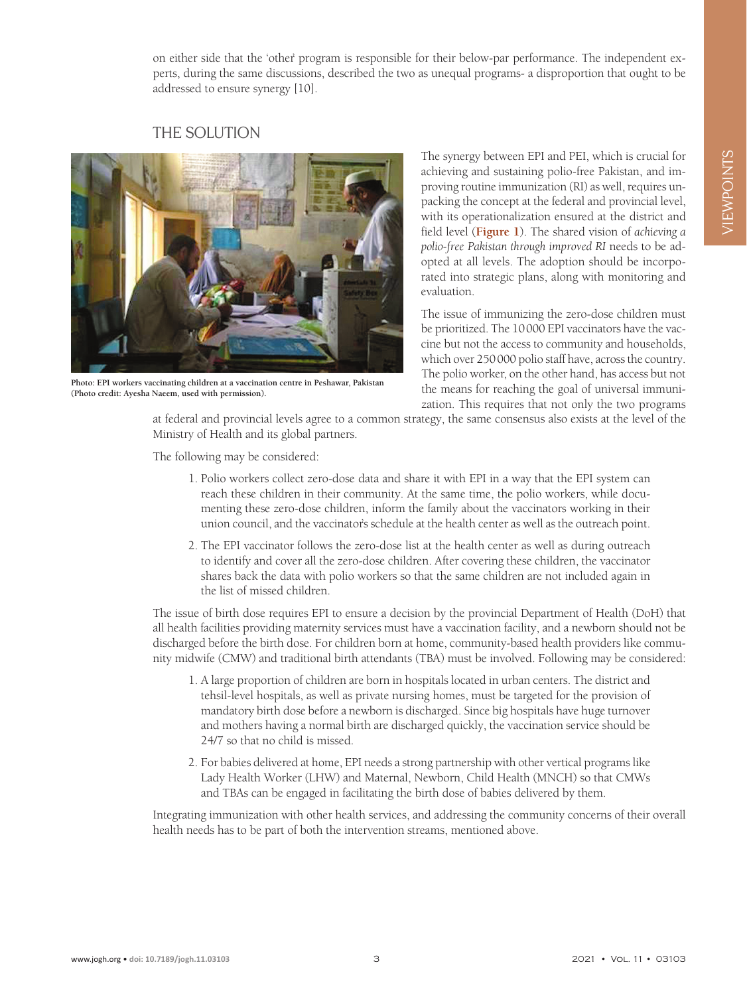on either side that the 'other' program is responsible for their below-par performance. The independent experts, during the same discussions, described the two as unequal programs- a disproportion that ought to be addressed to ensure synergy [10].

### THE SOLUTION



**Photo: EPI workers vaccinating children at a vaccination centre in Peshawar, Pakistan (Photo credit: Ayesha Naeem, used with permission).**

The synergy between EPI and PEI, which is crucial for achieving and sustaining polio-free Pakistan, and improving routine immunization (RI) as well, requires unpacking the concept at the federal and provincial level, with its operationalization ensured at the district and field level (**[Figure 1](#page-1-0)**). The shared vision of *achieving a polio-free Pakistan through improved RI* needs to be adopted at all levels. The adoption should be incorporated into strategic plans, along with monitoring and evaluation.

The issue of immunizing the zero-dose children must be prioritized. The 10000 EPI vaccinators have the vaccine but not the access to community and households, which over 250000 polio staff have, across the country. The polio worker, on the other hand, has access but not the means for reaching the goal of universal immunization. This requires that not only the two programs

at federal and provincial levels agree to a common strategy, the same consensus also exists at the level of the Ministry of Health and its global partners.

The following may be considered:

- 1. Polio workers collect zero-dose data and share it with EPI in a way that the EPI system can reach these children in their community. At the same time, the polio workers, while documenting these zero-dose children, inform the family about the vaccinators working in their union council, and the vaccinator's schedule at the health center as well as the outreach point.
- 2. The EPI vaccinator follows the zero-dose list at the health center as well as during outreach to identify and cover all the zero-dose children. After covering these children, the vaccinator shares back the data with polio workers so that the same children are not included again in the list of missed children.

The issue of birth dose requires EPI to ensure a decision by the provincial Department of Health (DoH) that all health facilities providing maternity services must have a vaccination facility, and a newborn should not be discharged before the birth dose. For children born at home, community-based health providers like community midwife (CMW) and traditional birth attendants (TBA) must be involved. Following may be considered:

- 1. A large proportion of children are born in hospitals located in urban centers. The district and tehsil-level hospitals, as well as private nursing homes, must be targeted for the provision of mandatory birth dose before a newborn is discharged. Since big hospitals have huge turnover and mothers having a normal birth are discharged quickly, the vaccination service should be 24/7 so that no child is missed.
- 2. For babies delivered at home, EPI needs a strong partnership with other vertical programs like Lady Health Worker (LHW) and Maternal, Newborn, Child Health (MNCH) so that CMWs and TBAs can be engaged in facilitating the birth dose of babies delivered by them.

Integrating immunization with other health services, and addressing the community concerns of their overall health needs has to be part of both the intervention streams, mentioned above.